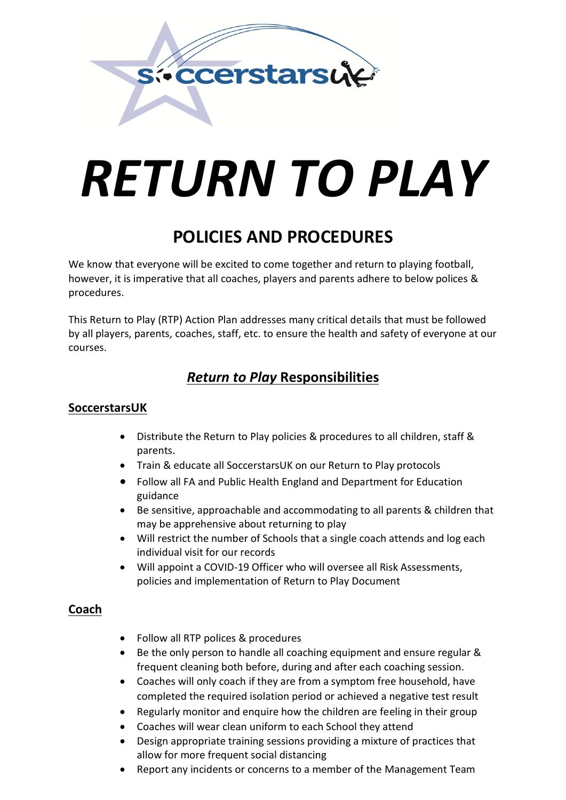

# *RETURN TO PLAY*

# **POLICIES AND PROCEDURES**

We know that everyone will be excited to come together and return to playing football, however, it is imperative that all coaches, players and parents adhere to below polices & procedures.

This Return to Play (RTP) Action Plan addresses many critical details that must be followed by all players, parents, coaches, staff, etc. to ensure the health and safety of everyone at our courses.

# *Return to Play* **Responsibilities**

# **SoccerstarsUK**

- Distribute the Return to Play policies & procedures to all children, staff & parents.
- Train & educate all SoccerstarsUK on our Return to Play protocols
- Follow all FA and Public Health England and Department for Education guidance
- Be sensitive, approachable and accommodating to all parents & children that may be apprehensive about returning to play
- Will restrict the number of Schools that a single coach attends and log each individual visit for our records
- Will appoint a COVID-19 Officer who will oversee all Risk Assessments, policies and implementation of Return to Play Document

# **Coach**

- Follow all RTP polices & procedures
- Be the only person to handle all coaching equipment and ensure regular & frequent cleaning both before, during and after each coaching session.
- Coaches will only coach if they are from a symptom free household, have completed the required isolation period or achieved a negative test result
- Regularly monitor and enquire how the children are feeling in their group
- Coaches will wear clean uniform to each School they attend
- Design appropriate training sessions providing a mixture of practices that allow for more frequent social distancing
- Report any incidents or concerns to a member of the Management Team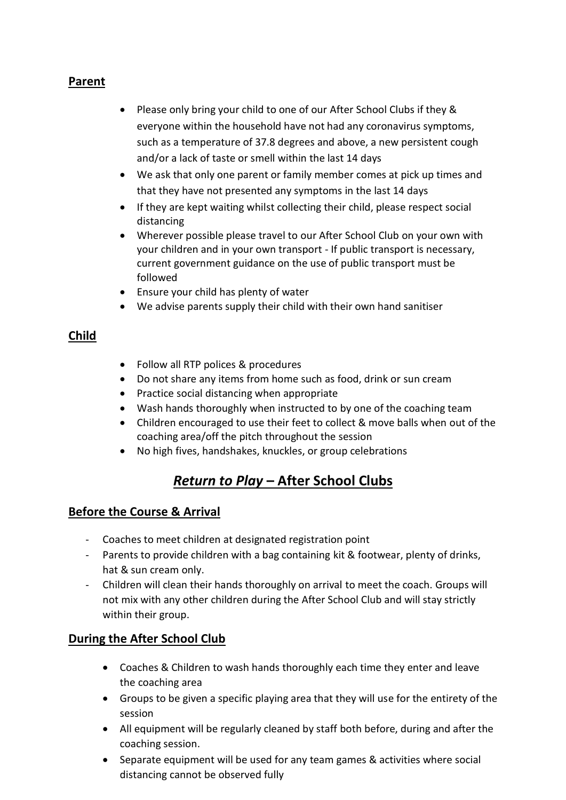# **Parent**

- Please only bring your child to one of our After School Clubs if they & everyone within the household have not had any coronavirus symptoms, such as a temperature of 37.8 degrees and above, a new persistent cough and/or a lack of taste or smell within the last 14 days
- We ask that only one parent or family member comes at pick up times and that they have not presented any symptoms in the last 14 days
- If they are kept waiting whilst collecting their child, please respect social distancing
- Wherever possible please travel to our After School Club on your own with your children and in your own transport - If public transport is necessary, current government guidance on the use of public transport must be followed
- Ensure your child has plenty of water
- We advise parents supply their child with their own hand sanitiser

# **Child**

- Follow all RTP polices & procedures
- Do not share any items from home such as food, drink or sun cream
- Practice social distancing when appropriate
- Wash hands thoroughly when instructed to by one of the coaching team
- Children encouraged to use their feet to collect & move balls when out of the coaching area/off the pitch throughout the session
- No high fives, handshakes, knuckles, or group celebrations

# *Return to Play* **– After School Clubs**

## **Before the Course & Arrival**

- Coaches to meet children at designated registration point
- Parents to provide children with a bag containing kit & footwear, plenty of drinks, hat & sun cream only.
- Children will clean their hands thoroughly on arrival to meet the coach. Groups will not mix with any other children during the After School Club and will stay strictly within their group.

# **During the After School Club**

- Coaches & Children to wash hands thoroughly each time they enter and leave the coaching area
- Groups to be given a specific playing area that they will use for the entirety of the session
- All equipment will be regularly cleaned by staff both before, during and after the coaching session.
- Separate equipment will be used for any team games & activities where social distancing cannot be observed fully